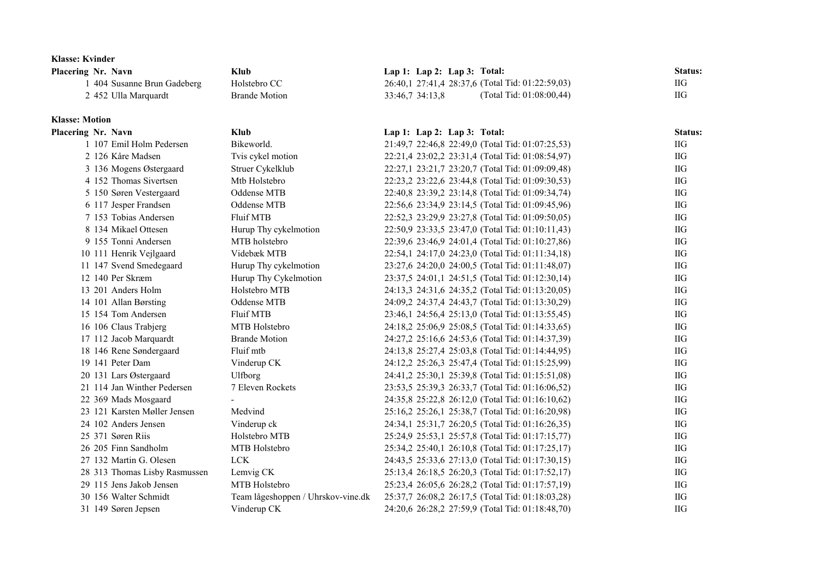| <b>Klasse: Kvinder</b>        |                                    |                                                  |            |
|-------------------------------|------------------------------------|--------------------------------------------------|------------|
| Placering Nr. Navn            | <b>Klub</b>                        | Lap 1: Lap 2: Lap 3: Total:                      | Status:    |
| 1 404 Susanne Brun Gadeberg   | Holstebro CC                       | 26:40,1 27:41,4 28:37,6 (Total Tid: 01:22:59,03) | IIG        |
| 2 452 Ulla Marquardt          | <b>Brande Motion</b>               | (Total Tid: 01:08:00,44)<br>33:46,7 34:13,8      | IIG        |
| <b>Klasse: Motion</b>         |                                    |                                                  |            |
| Placering Nr. Navn            | <b>Klub</b>                        | Lap 1: Lap 2: Lap 3: Total:                      | Status:    |
| 1 107 Emil Holm Pedersen      | Bikeworld.                         | 21:49,7 22:46,8 22:49,0 (Total Tid: 01:07:25,53) | <b>IIG</b> |
| 2 126 Kåre Madsen             | Tvis cykel motion                  | 22:21,4 23:02,2 23:31,4 (Total Tid: 01:08:54,97) | IIG        |
| 3 136 Mogens Østergaard       | Struer Cykelklub                   | 22:27,1 23:21,7 23:20,7 (Total Tid: 01:09:09,48) | IIG        |
| 4 152 Thomas Sivertsen        | Mtb Holstebro                      | 22:23,2 23:22,6 23:44,8 (Total Tid: 01:09:30,53) | IIG        |
| 5 150 Søren Vestergaard       | Oddense MTB                        | 22:40,8 23:39,2 23:14,8 (Total Tid: 01:09:34,74) | IIG        |
| 6 117 Jesper Frandsen         | Oddense MTB                        | 22:56,6 23:34,9 23:14,5 (Total Tid: 01:09:45,96) | $IIG$      |
| 7 153 Tobias Andersen         | Fluif MTB                          | 22:52,3 23:29,9 23:27,8 (Total Tid: 01:09:50,05) | <b>IIG</b> |
| 8 134 Mikael Ottesen          | Hurup Thy cykelmotion              | 22:50,9 23:33,5 23:47,0 (Total Tid: 01:10:11,43) | <b>IIG</b> |
| 9 155 Tonni Andersen          | MTB holstebro                      | 22:39,6 23:46,9 24:01,4 (Total Tid: 01:10:27,86) | IIG        |
| 10 111 Henrik Vejlgaard       | Videbæk MTB                        | 22:54,1 24:17,0 24:23,0 (Total Tid: 01:11:34,18) | IIG        |
| 11 147 Svend Smedegaard       | Hurup Thy cykelmotion              | 23:27,6 24:20,0 24:00,5 (Total Tid: 01:11:48,07) | IIG        |
| 12 140 Per Skræm              | Hurup Thy Cykelmotion              | 23:37,5 24:01,1 24:51,5 (Total Tid: 01:12:30,14) | IIG        |
| 13 201 Anders Holm            | Holstebro MTB                      | 24:13,3 24:31,6 24:35,2 (Total Tid: 01:13:20,05) | $IIG$      |
| 14 101 Allan Børsting         | Oddense MTB                        | 24:09,2 24:37,4 24:43,7 (Total Tid: 01:13:30,29) | IIG        |
| 15 154 Tom Andersen           | Fluif MTB                          | 23:46,1 24:56,4 25:13,0 (Total Tid: 01:13:55,45) | IIG        |
| 16 106 Claus Trabjerg         | MTB Holstebro                      | 24:18,2 25:06,9 25:08,5 (Total Tid: 01:14:33,65) | IIG        |
| 17 112 Jacob Marquardt        | <b>Brande Motion</b>               | 24:27,2 25:16,6 24:53,6 (Total Tid: 01:14:37,39) | IIG        |
| 18 146 Rene Søndergaard       | Fluif mtb                          | 24:13,8 25:27,4 25:03,8 (Total Tid: 01:14:44,95) | IIG        |
| 19 141 Peter Dam              | Vinderup CK                        | 24:12,2 25:26,3 25:47,4 (Total Tid: 01:15:25,99) | IIG        |
| 20 131 Lars Østergaard        | Ulfborg                            | 24:41,2 25:30,1 25:39,8 (Total Tid: 01:15:51,08) | $IIG$      |
| 21 114 Jan Winther Pedersen   | 7 Eleven Rockets                   | 23:53,5 25:39,3 26:33,7 (Total Tid: 01:16:06,52) | <b>IIG</b> |
| 22 369 Mads Mosgaard          |                                    | 24:35,8 25:22,8 26:12,0 (Total Tid: 01:16:10,62) | <b>IIG</b> |
| 23 121 Karsten Møller Jensen  | Medvind                            | 25:16,2 25:26,1 25:38,7 (Total Tid: 01:16:20,98) | IIG        |
| 24 102 Anders Jensen          | Vinderup ck                        | 24:34,1 25:31,7 26:20,5 (Total Tid: 01:16:26,35) | IIG        |
| 25 371 Søren Riis             | Holstebro MTB                      | 25:24,9 25:53,1 25:57,8 (Total Tid: 01:17:15,77) | IIG        |
| 26 205 Finn Sandholm          | MTB Holstebro                      | 25:34,2 25:40,1 26:10,8 (Total Tid: 01:17:25,17) | $IIG$      |
| 27 132 Martin G. Olesen       | ${L}{\mathrm{CK}}$                 | 24:43,5 25:33,6 27:13,0 (Total Tid: 01:17:30,15) | <b>IIG</b> |
| 28 313 Thomas Lisby Rasmussen | Lemvig CK                          | 25:13,4 26:18,5 26:20,3 (Total Tid: 01:17:52,17) | <b>IIG</b> |
| 29 115 Jens Jakob Jensen      | MTB Holstebro                      | 25:23,4 26:05,6 26:28,2 (Total Tid: 01:17:57,19) | <b>IIG</b> |
| 30 156 Walter Schmidt         | Team lågeshoppen / Uhrskov-vine.dk | 25:37,7 26:08,2 26:17,5 (Total Tid: 01:18:03,28) | IIG        |
| 31 149 Søren Jepsen           | Vinderup CK                        | 24:20,6 26:28,2 27:59,9 (Total Tid: 01:18:48,70) | $IIG$      |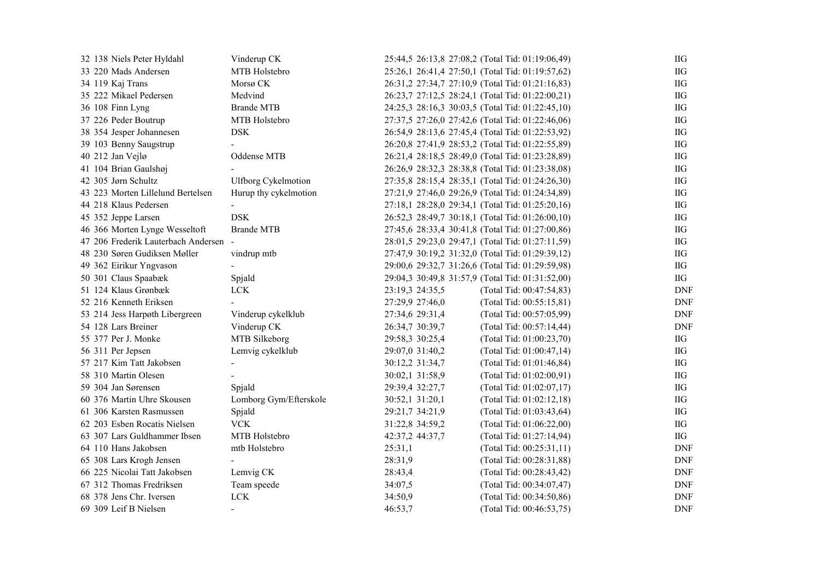| 32 138 Niels Peter Hyldahl          | Vinderup CK                  | 25:44,5 26:13,8 27:08,2 (Total Tid: 01:19:06,49) |                          | ΠG         |
|-------------------------------------|------------------------------|--------------------------------------------------|--------------------------|------------|
| 33 220 Mads Andersen                | MTB Holstebro                | 25:26,1 26:41,4 27:50,1 (Total Tid: 01:19:57,62) |                          | ΠG         |
| 34 119 Kaj Trans                    | Morsø <sub>CK</sub>          | 26:31,2 27:34,7 27:10,9 (Total Tid: 01:21:16,83) |                          | $IIG$      |
| 35 222 Mikael Pedersen              | Medvind                      | 26:23,7 27:12,5 28:24,1 (Total Tid: 01:22:00,21) |                          | ΠG         |
| 36 108 Finn Lyng                    | <b>Brande MTB</b>            | 24:25,3 28:16,3 30:03,5 (Total Tid: 01:22:45,10) |                          | ΠG         |
| 37 226 Peder Boutrup                | MTB Holstebro                | 27:37,5 27:26,0 27:42,6 (Total Tid: 01:22:46,06) |                          | IIG        |
| 38 354 Jesper Johannesen            | <b>DSK</b>                   | 26:54,9 28:13,6 27:45,4 (Total Tid: 01:22:53,92) |                          | $IIG$      |
| 39 103 Benny Saugstrup              |                              | 26:20,8 27:41,9 28:53,2 (Total Tid: 01:22:55,89) |                          | ΙIG        |
| 40 212 Jan Vejlø                    | Oddense MTB                  | 26:21,4 28:18,5 28:49,0 (Total Tid: 01:23:28,89) |                          | ΠG         |
| 41 104 Brian Gaulshøj               |                              | 26:26,9 28:32,3 28:38,8 (Total Tid: 01:23:38,08) |                          | ΠG         |
| 42 305 Jørn Schultz                 | <b>Ulfborg Cykelmotion</b>   | 27:35,8 28:15,4 28:35,1 (Total Tid: 01:24:26,30) |                          | ΠG         |
| 43 223 Morten Lillelund Bertelsen   | Hurup thy cykelmotion        | 27:21,9 27:46,0 29:26,9 (Total Tid: 01:24:34,89) |                          | ΠG         |
| 44 218 Klaus Pedersen               |                              | 27:18,1 28:28,0 29:34,1 (Total Tid: 01:25:20,16) |                          | ΠG         |
| 45 352 Jeppe Larsen                 | <b>DSK</b>                   | 26:52,3 28:49,7 30:18,1 (Total Tid: 01:26:00,10) |                          | $IIG$      |
| 46 366 Morten Lynge Wesseltoft      | <b>Brande MTB</b>            | 27:45,6 28:33,4 30:41,8 (Total Tid: 01:27:00,86) |                          | ΠG         |
| 47 206 Frederik Lauterbach Andersen |                              | 28:01,5 29:23,0 29:47,1 (Total Tid: 01:27:11,59) |                          | ΠG         |
| 48 230 Søren Gudiksen Møller        | vindrup mtb                  | 27:47,9 30:19,2 31:32,0 (Total Tid: 01:29:39,12) |                          | ΠG         |
| 49 362 Eirikur Yngvason             |                              | 29:00,6 29:32,7 31:26,6 (Total Tid: 01:29:59,98) |                          | $IIG$      |
| 50 301 Claus Spaabæk                | Spjald                       | 29:04,3 30:49,8 31:57,9 (Total Tid: 01:31:52,00) |                          | $H$        |
| 51 124 Klaus Grønbæk                | LCK                          | 23:19,3 24:35,5                                  | (Total Tid: 00:47:54,83) | <b>DNF</b> |
| 52 216 Kenneth Eriksen              |                              | 27:29,9 27:46,0                                  | (Total Tid: 00:55:15,81) | <b>DNF</b> |
| 53 214 Jess Harpøth Libergreen      | Vinderup cykelklub           | 27:34,6 29:31,4                                  | (Total Tid: 00:57:05,99) | <b>DNF</b> |
| 54 128 Lars Breiner                 | Vinderup CK                  | 26:34,7 30:39,7                                  | (Total Tid: 00:57:14,44) | <b>DNF</b> |
| 55 377 Per J. Monke                 | MTB Silkeborg                | 29:58,3 30:25,4                                  | (Total Tid: 01:00:23,70) | ΠG         |
| 56 311 Per Jepsen                   | Lemvig cykelklub             | 29:07,0 31:40,2                                  | (Total Tid: 01:00:47,14) | IIG        |
| 57 217 Kim Tatt Jakobsen            |                              | 30:12,2 31:34,7                                  | (Total Tid: 01:01:46,84) | ΠG         |
| 58 310 Martin Olesen                |                              | 30:02,1 31:58,9                                  | (Total Tid: 01:02:00,91) | ΠG         |
| 59 304 Jan Sørensen                 | Spjald                       | 29:39,4 32:27,7                                  | (Total Tid: 01:02:07,17) | ПG         |
| 60 376 Martin Uhre Skousen          | Lomborg Gym/Efterskole       | 30:52,1 31:20,1                                  | (Total Tid: 01:02:12,18) | IIG        |
| 61 306 Karsten Rasmussen            | Spjald                       | 29:21,7 34:21,9                                  | (Total Tid: 01:03:43,64) | ΠG         |
| 62 203 Esben Rocatis Nielsen        | <b>VCK</b>                   | 31:22,8 34:59,2                                  | (Total Tid: 01:06:22,00) | ΠG         |
| 63 307 Lars Guldhammer Ibsen        | MTB Holstebro                | 42:37,2 44:37,7                                  | (Total Tid: 01:27:14,94) | ΠG         |
| 64 110 Hans Jakobsen                | mtb Holstebro                | 25:31,1                                          | (Total Tid: 00:25:31,11) | <b>DNF</b> |
| 65 308 Lars Krogh Jensen            |                              | 28:31,9                                          | (Total Tid: 00:28:31,88) | <b>DNF</b> |
| 66 225 Nicolai Tatt Jakobsen        | Lemvig CK                    | 28:43,4                                          | (Total Tid: 00:28:43,42) | <b>DNF</b> |
| 67 312 Thomas Fredriksen            | Team speede                  | 34:07,5                                          | (Total Tid: 00:34:07,47) | <b>DNF</b> |
| 68 378 Jens Chr. Iversen            | ${ \mathop{ \textrm{LCK}} }$ | 34:50,9                                          | (Total Tid: 00:34:50,86) | <b>DNF</b> |
| 69 309 Leif B Nielsen               |                              | 46:53,7                                          | (Total Tid: 00:46:53,75) | <b>DNF</b> |